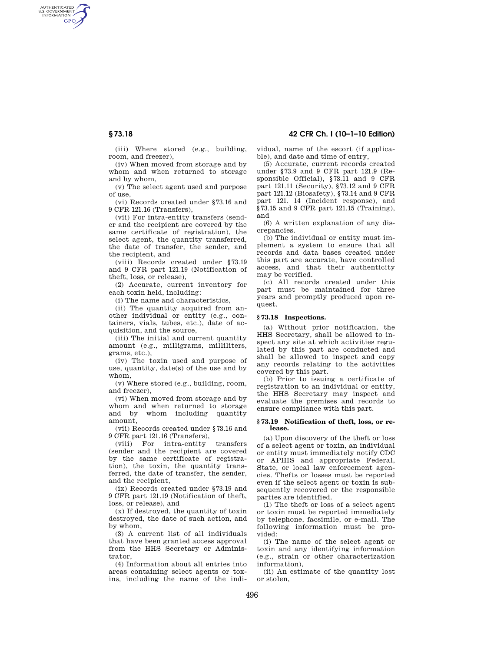AUTHENTICATED<br>U.S. GOVERNMENT<br>INFORMATION **GPO** 

**§ 73.18 42 CFR Ch. I (10–1–10 Edition)** 

(iii) Where stored (e.g., building, room, and freezer),

(iv) When moved from storage and by whom and when returned to storage and by whom,

(v) The select agent used and purpose of use,

(vi) Records created under §73.16 and 9 CFR 121.16 (Transfers),

(vii) For intra-entity transfers (sender and the recipient are covered by the same certificate of registration), the select agent, the quantity transferred, the date of transfer, the sender, and the recipient, and

(viii) Records created under §73.19 and 9 CFR part 121.19 (Notification of theft, loss, or release),

(2) Accurate, current inventory for each toxin held, including:

(i) The name and characteristics,

(ii) The quantity acquired from another individual or entity (e.g., containers, vials, tubes, etc.), date of acquisition, and the source,

(iii) The initial and current quantity amount (e.g., milligrams, milliliters, grams, etc.),

(iv) The toxin used and purpose of use, quantity, date(s) of the use and by whom,

(v) Where stored (e.g., building, room, and freezer),

(vi) When moved from storage and by whom and when returned to storage<br>and by whom including quantity whom including quantity amount,

(vii) Records created under §73.16 and 9 CFR part 121.16 (Transfers),

(viii) For intra-entity transfers (sender and the recipient are covered by the same certificate of registration), the toxin, the quantity transferred, the date of transfer, the sender, and the recipient,

(ix) Records created under §73.19 and 9 CFR part 121.19 (Notification of theft, loss, or release), and

(x) If destroyed, the quantity of toxin destroyed, the date of such action, and by whom,

(3) A current list of all individuals that have been granted access approval from the HHS Secretary or Administrator,

(4) Information about all entries into areas containing select agents or toxins, including the name of the individual, name of the escort (if applicable), and date and time of entry,

(5) Accurate, current records created under §73.9 and 9 CFR part 121.9 (Responsible Official), §73.11 and 9 CFR part 121.11 (Security), §73.12 and 9 CFR part 121.12 (Biosafety), §73.14 and 9 CFR part 121. 14 (Incident response), and §73.15 and 9 CFR part 121.15 (Training), and

(6) A written explanation of any discrepancies.

(b) The individual or entity must implement a system to ensure that all records and data bases created under this part are accurate, have controlled access, and that their authenticity may be verified.

(c) All records created under this part must be maintained for three years and promptly produced upon request.

#### **§ 73.18 Inspections.**

(a) Without prior notification, the HHS Secretary, shall be allowed to inspect any site at which activities regulated by this part are conducted and shall be allowed to inspect and copy any records relating to the activities covered by this part.

(b) Prior to issuing a certificate of registration to an individual or entity, the HHS Secretary may inspect and evaluate the premises and records to ensure compliance with this part.

#### **§ 73.19 Notification of theft, loss, or release.**

(a) Upon discovery of the theft or loss of a select agent or toxin, an individual or entity must immediately notify CDC or APHIS and appropriate Federal, State, or local law enforcement agencies. Thefts or losses must be reported even if the select agent or toxin is subsequently recovered or the responsible parties are identified.

(1) The theft or loss of a select agent or toxin must be reported immediately by telephone, facsimile, or e-mail. The following information must be provided:

(i) The name of the select agent or toxin and any identifying information (e.g., strain or other characterization information),

(ii) An estimate of the quantity lost or stolen,